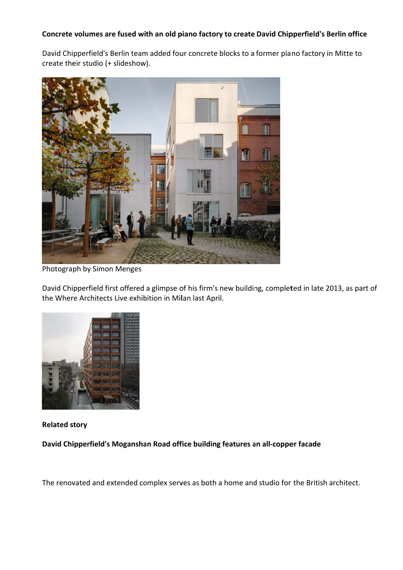## Concrete volumes are fused with an old piano factory to create David Chipperfield's Berlin office

David Chipperfield's Berlin team added four concrete blocks to a former piano factory in Mitte to create their studio (+ slideshow).



Photogra ph by Simo n Menges

David Chipperfield first offered a glimpse of his firm's new building, completed in late 2013, as part of the Where Architects Live exhibition in Milan last April.



**Related s story**

David Chipperfield's Moganshan Road office building features an all-copper facade

The renovated and extended complex serves as both a home and studio for the British architect.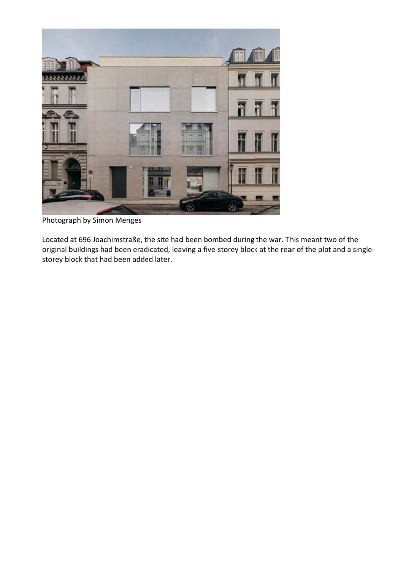

Photograph by Simon Menges

Located at 696 Joachimstraße, the site had been bombed during the war. This meant two of the original buildings had been eradicated, leaving a five-storey block at the rear of the plot and a singlestorey block that had been added later.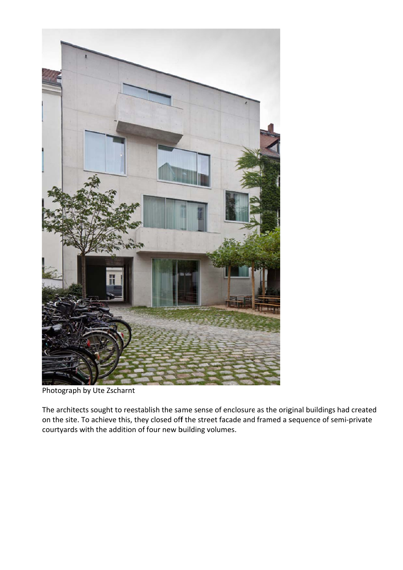

Photograph by Ute Zscharnt

The architects sought to reestablish the same sense of enclosure as the original buildings had created on the site. To achieve this, they closed off the street facade and framed a sequence of semi-private courtyards with the addition of four new building volumes.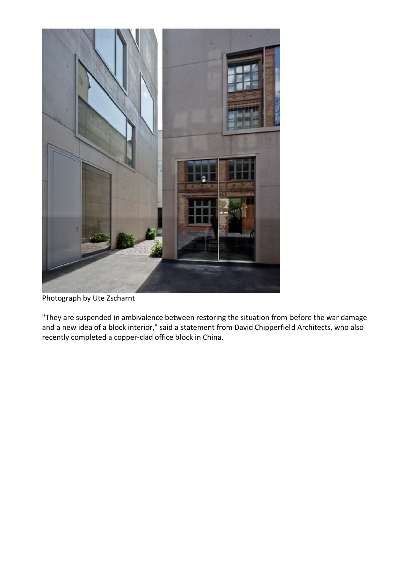

Photograph by Ute Zscharnt

"They are suspended in ambivalence between restoring the situation from before the war damage and a new idea of a block interior," said a statement from David Chipperfield Architects, who also recently completed a copper-clad office block in China.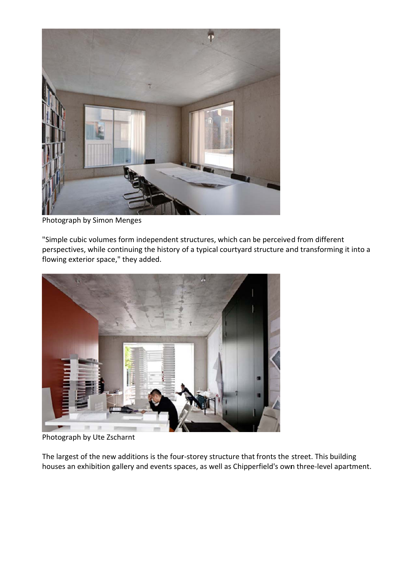

Photograph by Simon Menges

"Simple cubic volumes form independent structures, which can be perceived from different perspectives, while continuing the history of a typical courtyard structure and transforming it into a flowing exterior space," they added.



Photograph by Ute Zscharnt

The largest of the new additions is the four-storey structure that fronts the street. This building houses an exhibition gallery and events spaces, as well as Chipperfield's own three-level apartment.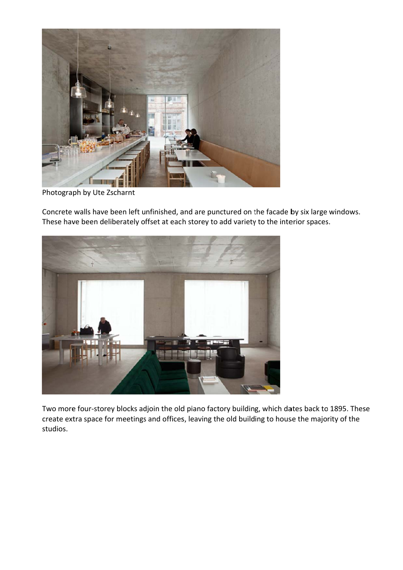

Photograph by Ute Zscharnt

Concrete walls have been left unfinished, and are punctured on the facade by six large windows. These have been deliberately offset at each storey to add variety to the interior spaces.



Two more four-storey blocks adjoin the old piano factory building, which dates back to 1895. These create extra space for meetings and offices, leaving the old building to house the majority of the studios.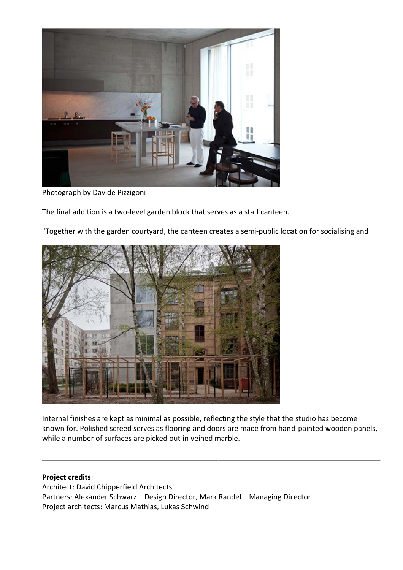

Photograph by Davide Pizzigoni

The final addition is a two-level garden block that serves as a staff canteen.

"Together with the garden courtyard, the canteen creates a semi-public location for socialising and



Internal finishes are kept as minimal as possible, reflecting the style that the studio has become known for. Polished screed serves as flooring and doors are made from hand-painted wooden panels, while a number of surfaces are picked out in veined marble.

## **Project credits:**

Architect: David Chipperfield Architects Partners: Alexander Schwarz - Design Director, Mark Randel - Managing Director Project architects: Marcus Mathias, Lukas Schwind